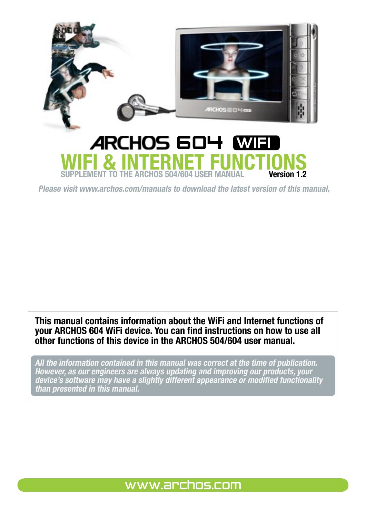

Please visit www.archos.com/manuals to download the latest version of this manual.

This manual contains information about the WiFi and Internet functions of your ARCHOS 604 WiFi device. You can find instructions on how to use all other functions of this device in the ARCHOS 504/604 user manual.

All the information contained in this manual was correct at the time of publication. However, as our engineers are always updating and improving our products, your device's software may have a slightly different appearance or modified functionality than presented in this manual.

# www.archos.com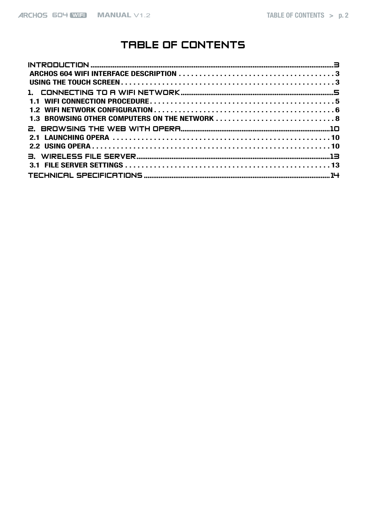# TABLE OF CONTENTS

| 1.3 BROWSING OTHER COMPUTERS ON THE NETWORK  8 |  |
|------------------------------------------------|--|
|                                                |  |
|                                                |  |
|                                                |  |
|                                                |  |
|                                                |  |
|                                                |  |
|                                                |  |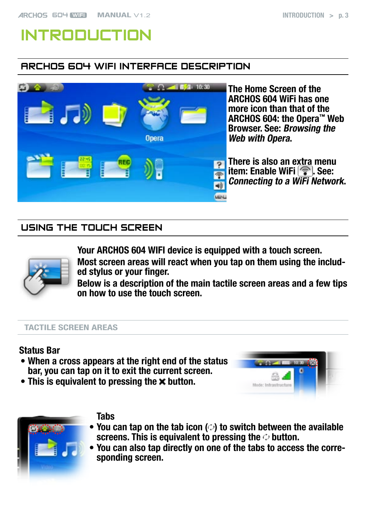# <span id="page-2-0"></span>Introduction

# ARCHOS 604 WiFi Interface Description



The Home Screen of the ARCHOS 604 WiFi has one more icon than that of the ARCHOS 604: the Opera™ Web Browser. See: [Browsing the](#page-9-1)  [Web with Opera](#page-9-1).

There is also an extra menu item: Enable WiFi  $\circled{?}$ . See: [Connecting to a WiFi Network](#page-4-1).

# Using the Touch Screen



Your ARCHOS 604 WIFI device is equipped with a touch screen.

Most screen areas will react when you tap on them using the included stylus or your finger.

Below is a description of the main tactile screen areas and a few tips on how to use the touch screen.

#### Tactile Screen Areas

### Status Bar

- When a cross appears at the right end of the status bar, you can tap on it to exit the current screen.
- This is equivalent to pressing the  $\times$  button.





### **Tabs**

- You can tap on the tab icon  $(\circ)$  to switch between the available screens. This is equivalent to pressing the  $\circ$  button.
- You can also tap directly on one of the tabs to access the corre-•sponding screen.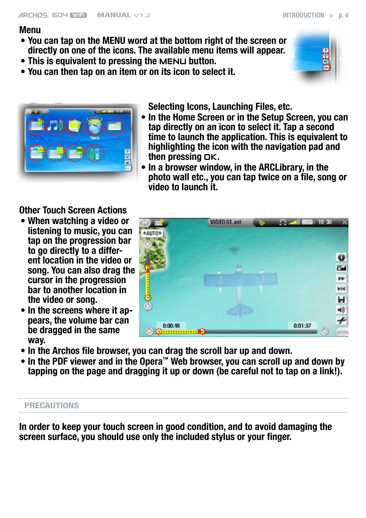### Menu

- You can tap on the MENU word at the bottom right of the screen or directly on one of the icons. The available menu items will appear.
- This is equivalent to pressing the MENU button.
- You can then tap on an item or on its icon to select it. •





Selecting Icons, Launching Files, etc.

- In the Home Screen or in the Setup Screen, you can tap directly on an icon to select it. Tap a second time to launch the application. This is equivalent to highlighting the icon with the navigation pad and then pressing  $QK$ .
- In a browser window, in the ARCLibrary, in the photo wall etc., you can tap twice on a file, song or video to launch it.

Other Touch Screen Actions

- When watching a video or listening to music, you can tap on the progression bar to go directly to a different location in the video or song. You can also drag the cursor in the progression bar to another location in the video or song.
- In the screens where it appears, the volume bar can be dragged in the same way.
- VIDEO 01.avi mm = 10.30 **4 AUTO**  $\mathbf{u}$ r an  $\overline{ }$  $H<sub>4</sub>$ н 40  $0:01:57$  $0:00:46$ **Letters**
- In the Archos file browser, you can drag the scroll bar up and down.
- In the PDF viewer and in the Opera™ Web browser, you can scroll up and down by tapping on the page and dragging it up or down (be careful not to tap on a link!).

#### **PRECAUTIONS**

In order to keep your touch screen in good condition, and to avoid damaging the screen surface, you should use only the included stylus or your finger.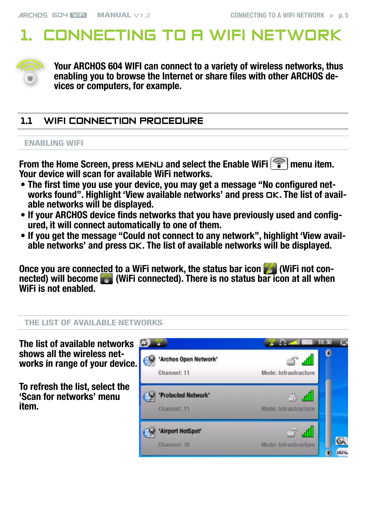# <span id="page-4-1"></span><span id="page-4-0"></span>1. Connecting to a WiFi Network



Your ARCHOS 604 WIFI can connect to a variety of wireless networks, thus enabling you to browse the Internet or share files with other ARCHOS devices or computers, for example.

# 1.1 WiFi Connection Procedure

#### ENABLING WiFi

From the Home Screen, press MENU and select the Enable WiFi  $\sqrt{\hat{m}}$  menu item. Your device will scan for available WiFi networks.

- The first time you use your device, you may get a message "No configured net-• works found". Highlight 'View available networks' and press  $\Box K$ . The list of avail-<br>able networks will be displayed.
- If your ARCHOS device finds networks that you have previously used and configured, it will connect automatically to one of them.
- If you get the message "Could not connect to any network", highlight 'View available networks' and press OK. The list of available networks will be displayed.

Once you are connected to a WiFi network, the status bar icon (MiFi not connected) will become (WiFi connected). There is no status bar icon at all when WiFi is not enabled.

#### THE LIST OF AVAILABLe NETWORKS

The list of available networks shows all the wireless networks in range of your device.

To refresh the list, select the 'Scan for networks' menu item.

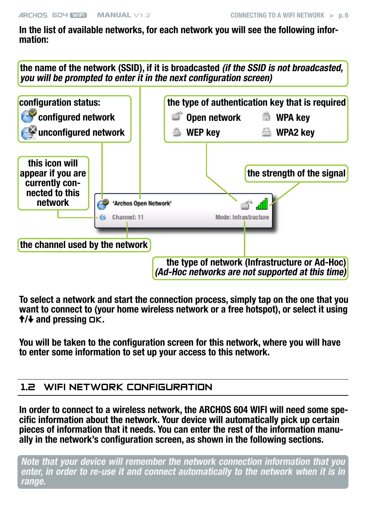<span id="page-5-0"></span>In the list of available networks, for each network you will see the following information:

the name of the network (SSID), if it is broadcasted (if the SSID is not broadcasted, you will be prompted to enter it in the next configuration screen)



To select a network and start the connection process, simply tap on the one that you want to connect to (your home wireless network or a free hotspot), or select it using  $\dagger/\dagger$  and pressing  $\Box K$ .

You will be taken to the configuration screen for this network, where you will have to enter some information to set up your access to this network.

### 1.2 WiFi Network Configuration

In order to connect to a wireless network, the ARCHOS 604 WIFI will need some specific information about the network. Your device will automatically pick up certain pieces of information that it needs. You can enter the rest of the information manually in the network's configuration screen, as shown in the following sections.

Note that your device will remember the network connection information that you enter, in order to re-use it and connect automatically to the network when it is in range.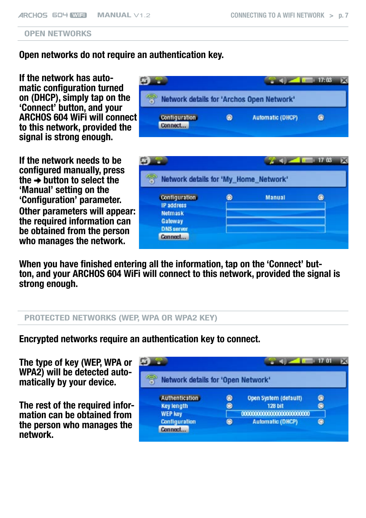#### OPEN NETWORKS

Open networks do not require an authentication key.

If the network has automatic configuration turned on (DHCP), simply tap on the 'Connect' button, and your ARCHOS 604 WiFi will connect to this network, provided the signal is strong enough.

If the network needs to be configured manually, press the  $\rightarrow$  button to select the 'Manual' setting on the 'Configuration' parameter. Other parameters will appear: the required information can be obtained from the person who manages the network.

When you have finished entering all the information, tap on the 'Connect' button, and your ARCHOS 604 WiFi will connect to this network, provided the signal is strong enough.

#### PROTECTED NETWORKS (WEP, WPA OR WPA2 KEY)

Encrypted networks require an authentication key to connect.

The type of key (WEP, WPA or WPA2) will be detected automatically by your device.

The rest of the required information can be obtained from the person who manages the network.





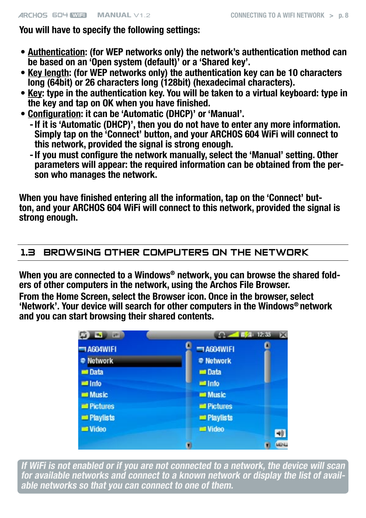### <span id="page-7-0"></span>You will have to specify the following settings:

- Authentication: (for WEP networks only) the network's authentication method can be based on an 'Open system (default)' or a 'Shared key'.
- Key length: (for WEP networks only) the authentication key can be 10 characters long (64bit) or 26 characters long (128bit) (hexadecimal characters).
- Key: type in the authentication key. You will be taken to a virtual keyboard: type in the key and tap on OK when you have finished.
- Configuration: it can be 'Automatic (DHCP)' or 'Manual'.
	- If it is 'Automatic (DHCP)', then you do not have to enter any more information. Simply tap on the 'Connect' button, and your ARCHOS 604 WiFi will connect to this network, provided the signal is strong enough.
	- If you must configure the network manually, select the 'Manual' setting. Other parameters will appear: the required information can be obtained from the person who manages the network.

When you have finished entering all the information, tap on the 'Connect' button, and your ARCHOS 604 WiFi will connect to this network, provided the signal is strong enough.

# 1.3 Browsing OTHER COMPUTERS ON the Network

When you are connected to a Windows® network, you can browse the shared folders of other computers in the network, using the Archos File Browser.

From the Home Screen, select the Browser icon. Once in the browser, select 'Network'. Your device will search for other computers in the Windows® network and you can start browsing their shared contents.



If WiFi is not enabled or if you are not connected to a network, the device will scan for available networks and connect to a known network or display the list of available networks so that you can connect to one of them.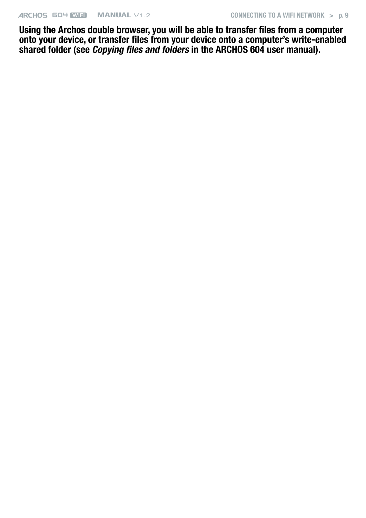Using the Archos double browser, you will be able to transfer files from a computer onto your device, or transfer files from your device onto a computer's write-enabled shared folder (see *Copying files and folders* in the ARCHOS 604 user manual).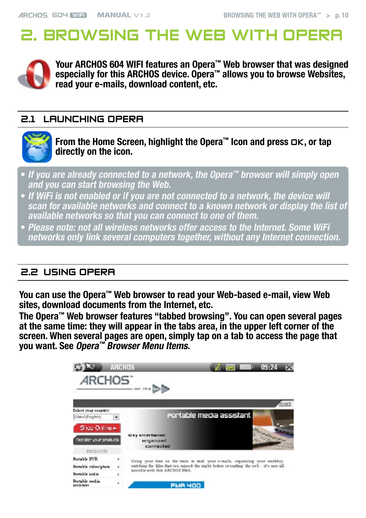# <span id="page-9-1"></span><span id="page-9-0"></span>2. BROWSING THE WEB WITH OPI



Your ARCHOS 604 WIFI features an Opera™ Web browser that was designed especially for this ARCHOS device. Opera™ allows you to browse Websites, read your e-mails, download content, etc.

## 2.1 LAUNCHING OPERA



From the Home Screen, highlight the Opera™ Icon and press OK, or tap directly on the icon.

- If you are already connected to a network, the Opera™ browser will simply open and you can start browsing the Web.
- If WiFi is not enabled or if you are not connected to a network, the device will scan for available networks and connect to a known network or display the list of available networks so that you can connect to one of them.
- Please note: not all wireless networks offer access to the Internet. Some WiFi networks only link several computers together, without any Internet connection.

# 2.2 Using Opera

You can use the Opera<sup>™</sup> Web browser to read your Web-based e-mail, view Web sites, download documents from the Internet, etc.

The Opera™ Web browser features "tabbed browsing". You can open several pages at the same time: they will appear in the tabs area, in the upper left corner of the screen. When several pages are open, simply tap on a tab to access the page that you want. See Opera<sup>™</sup> [Browser Menu Items](#page-10-0).

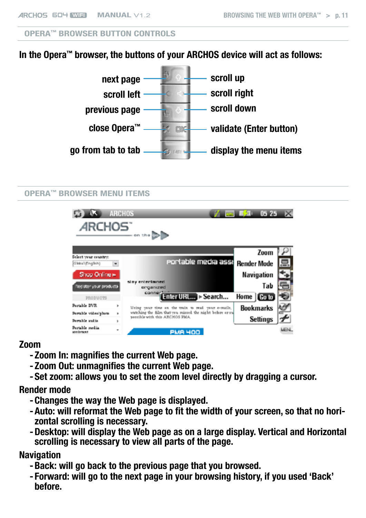#### Opera™ Browser Button Controls

# In the Opera™ browser, the buttons of your ARCHOS device will act as follows:



#### <span id="page-10-0"></span>Opera™ Browser Menu Items

| <b>ARCHOS</b>                            |                | <b>ARCHOS</b><br>on the <b>HD</b>                                                          | $0525$ $\times$<br>- 16210 |      |
|------------------------------------------|----------------|--------------------------------------------------------------------------------------------|----------------------------|------|
|                                          |                |                                                                                            | Zoom                       |      |
| Select your country:<br>Global (English) | $\blacksquare$ | portable media assi                                                                        | <b>Render Mode</b>         | 鳥    |
| Shop Online »                            |                |                                                                                            | Navigation                 |      |
| Register your products                   |                | stay entertained<br>organized                                                              | Tab                        |      |
| PRODUCTS                                 |                | conner,<br>Enter URL > Search                                                              | Home   Colo                |      |
| Portable DVR                             | ٠              | Using your time on the truin to read your e-mails,                                         | <b>Bookmarks</b>           |      |
| Portable video/photo                     | ٠              | watching the film that you missed the night before or su<br>passible with this ARCHOS PMA. |                            |      |
| Portable audio                           | ٠              |                                                                                            | Settings                   |      |
| Portable media<br>assistant              | ٠              | <b>PMA 400</b>                                                                             |                            | MFN. |

#### Zoom

- Zoom In: magnifies the current Web page.
- Zoom Out: unmagnifies the current Web page.
- Set zoom: allows you to set the zoom level directly by dragging a cursor. -

#### Render mode

- Changes the way the Web page is displayed. -
- Auto: will reformat the Web page to fit the width of your screen, so that no hori- zontal scrolling is necessary.
- Desktop: will display the Web page as on a large display. Vertical and Horizontal scrolling is necessary to view all parts of the page.

#### **Navigation**

- Back: will go back to the previous page that you browsed. -
- Forward: will go to the next page in your browsing history, if you used 'Back' before.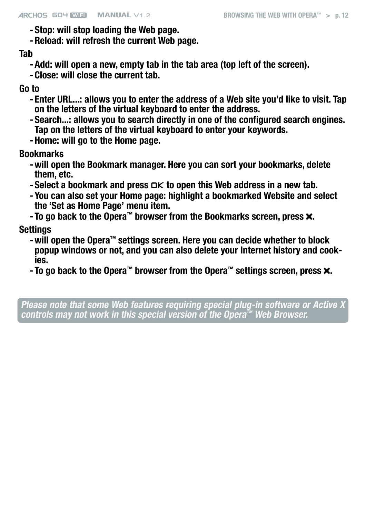- Stop: will stop loading the Web page.
- Reload: will refresh the current Web page.

## Tab

- Add: will open a new, empty tab in the tab area (top left of the screen). -
- Close: will close the current tab. -

## Go to

- Enter URL...: allows you to enter the address of a Web site you'd like to visit. Tap on the letters of the virtual keyboard to enter the address.
- Search...: allows you to search directly in one of the configured search engines. Tap on the letters of the virtual keyboard to enter your keywords.
- Home: will go to the Home page.

# Bookmarks

- will open the Bookmark manager. Here you can sort your bookmarks, delete them, etc.
- $-$  Select a bookmark and press  $\Box K$  to open this Web address in a new tab.
- You can also set your Home page: highlight a bookmarked Website and select the 'Set as Home Page' menu item.
- To go back to the Opera<sup> $m$ </sup> browser from the Bookmarks screen, press  $\boldsymbol{\times}$ .

# **Settings**

- will open the Opera™ settings screen. Here you can decide whether to block popup windows or not, and you can also delete your Internet history and cookies.
- To go back to the Opera™ browser from the Opera™ settings screen, press  $\boldsymbol{\mathsf{x}}$ .

Please note that some Web features requiring special plug-in software or Active X controls may not work in this special version of the Opera™ Web Browser.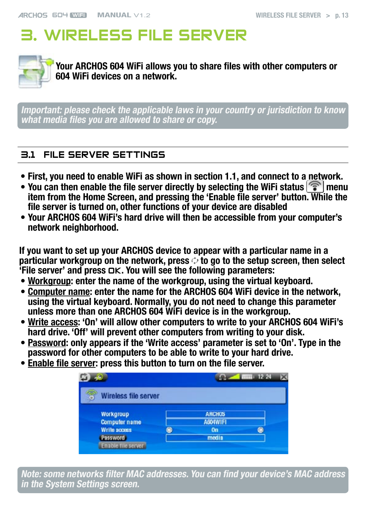# <span id="page-12-0"></span>3. Wireless File Server



Your ARCHOS 604 WiFi allows you to share files with other computers or 604 WiFi devices on a network.

Important: please check the applicable laws in your country or jurisdiction to know what media files you are allowed to share or copy.

# 3.1 File Server Settings

- First, you need to enable WiFi as shown in section 1.1, and connect to a network.
- You can then enable the file server directly by selecting the WiFi status  $\mathcal{F}$  menu item from the Home Screen, and pressing the 'Enable file server' button. While the file server is turned on, other functions of your device are disabled
- Your ARCHOS 604 WiFi's hard drive will then be accessible from your computer's network neighborhood.

If you want to set up your ARCHOS device to appear with a particular name in a particular workgroup on the network, press  $\phi$  to go to the setup screen, then select  $\overline{f}$ File server' and press  $\overline{O}$ K. You will see the following parameters:

- Workgroup: enter the name of the workgroup, using the virtual keyboard.
- Computer name: enter the name for the ARCHOS 604 WiFi device in the network, using the virtual keyboard. Normally, you do not need to change this parameter unless more than one ARCHOS 604 WiFi device is in the workgroup.
- Write access: 'On' will allow other computers to write to your ARCHOS 604 WiFi's hard drive. 'Off' will prevent other computers from writing to your disk.
- Password: only appears if the 'Write access' parameter is set to 'On'. Type in the password for other computers to be able to write to your hard drive.
- Enable file server: press this button to turn on the file server.

| Wireless file server       |                 |  |
|----------------------------|-----------------|--|
| Workgroup                  | <b>ARCHOS</b>   |  |
| <b>Computer name</b>       | <b>AGO WIFI</b> |  |
| Write access               | On              |  |
| <b>Password</b>            | media           |  |
| <b>Enable file servers</b> |                 |  |

Note: some networks filter MAC addresses. You can find your device's MAC address in the System Settings screen.